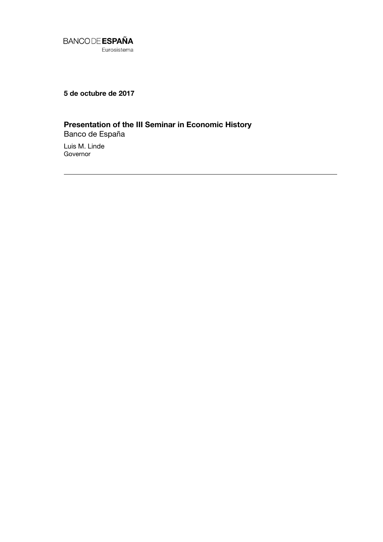

**5 de octubre de 2017**

## **Presentation of the III Seminar in Economic History**

Banco de España Luis M. Linde

Governor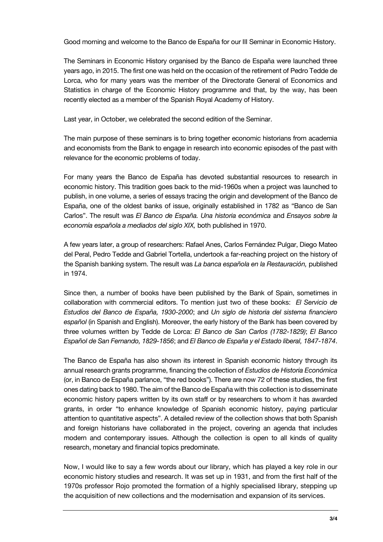Good morning and welcome to the Banco de España for our III Seminar in Economic History.

The Seminars in Economic History organised by the Banco de España were launched three years ago, in 2015. The first one was held on the occasion of the retirement of Pedro Tedde de Lorca, who for many years was the member of the Directorate General of Economics and Statistics in charge of the Economic History programme and that, by the way, has been recently elected as a member of the Spanish Royal Academy of History.

Last year, in October, we celebrated the second edition of the Seminar.

The main purpose of these seminars is to bring together economic historians from academia and economists from the Bank to engage in research into economic episodes of the past with relevance for the economic problems of today.

For many years the Banco de España has devoted substantial resources to research in economic history. This tradition goes back to the mid-1960s when a project was launched to publish, in one volume, a series of essays tracing the origin and development of the Banco de España, one of the oldest banks of issue, originally established in 1782 as "Banco de San Carlos". The result was *El Banco de España. Una historia económica* and *Ensayos sobre la economía española a mediados del siglo XIX,* both published in 1970.

A few years later, a group of researchers: Rafael Anes, Carlos Fernández Pulgar, Diego Mateo del Peral, Pedro Tedde and Gabriel Tortella, undertook a far-reaching project on the history of the Spanish banking system. The result was *La banca española en la Restauración,* published in 1974.

Since then, a number of books have been published by the Bank of Spain, sometimes in collaboration with commercial editors. To mention just two of these books: *El Servicio de Estudios del Banco de España, 1930-2000*; and *Un siglo de historia del sistema financiero español* (in Spanish and English). Moreover, the early history of the Bank has been covered by three volumes written by Tedde de Lorca: *El Banco de San Carlos (1782-1829)*; *El Banco Español de San Fernando, 1829-1856*; and *El Banco de España y el Estado liberal, 1847-1874*.

The Banco de España has also shown its interest in Spanish economic history through its annual research grants programme, financing the collection of *Estudios de Historia Económica* (or, in Banco de España parlance, "the red books"). There are now 72 of these studies, the first ones dating back to 1980. The aim of the Banco de España with this collection is to disseminate economic history papers written by its own staff or by researchers to whom it has awarded grants, in order "to enhance knowledge of Spanish economic history, paying particular attention to quantitative aspects". A detailed review of the collection shows that both Spanish and foreign historians have collaborated in the project, covering an agenda that includes modern and contemporary issues. Although the collection is open to all kinds of quality research, monetary and financial topics predominate.

Now, I would like to say a few words about our library, which has played a key role in our economic history studies and research. It was set up in 1931, and from the first half of the 1970s professor Rojo promoted the formation of a highly specialised library, stepping up the acquisition of new collections and the modernisation and expansion of its services.